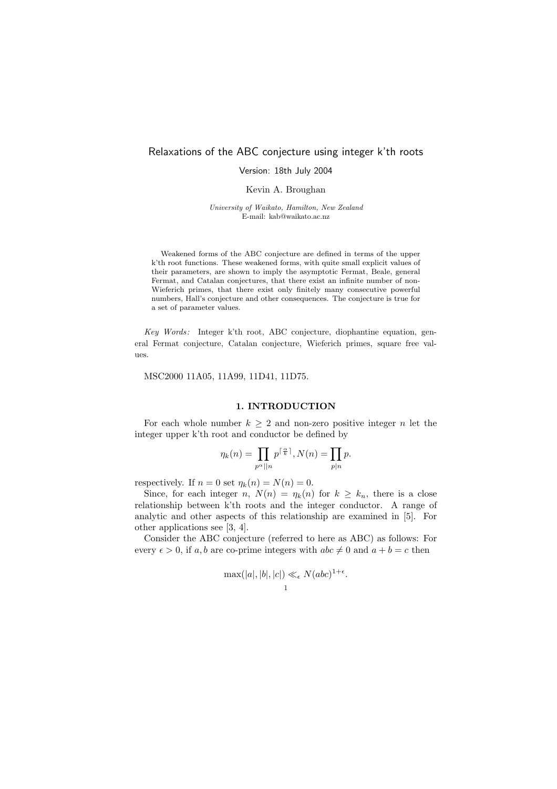# Relaxations of the ABC conjecture using integer k'th roots

Version: 18th July 2004

Kevin A. Broughan

University of Waikato, Hamilton, New Zealand E-mail: kab@waikato.ac.nz

Weakened forms of the ABC conjecture are defined in terms of the upper k'th root functions. These weakened forms, with quite small explicit values of their parameters, are shown to imply the asymptotic Fermat, Beale, general Fermat, and Catalan conjectures, that there exist an infinite number of non-Wieferich primes, that there exist only finitely many consecutive powerful numbers, Hall's conjecture and other consequences. The conjecture is true for a set of parameter values.

Key Words: Integer k'th root, ABC conjecture, diophantine equation, general Fermat conjecture, Catalan conjecture, Wieferich primes, square free values.

MSC2000 11A05, 11A99, 11D41, 11D75.

# 1. INTRODUCTION

For each whole number  $k \geq 2$  and non-zero positive integer n let the integer upper k'th root and conductor be defined by

$$
\eta_k(n) = \prod_{p^{\alpha}||n} p^{\lceil \frac{\alpha}{k} \rceil}, N(n) = \prod_{p|n} p.
$$

respectively. If  $n = 0$  set  $\eta_k(n) = N(n) = 0$ .

Since, for each integer n,  $N(n) = \eta_k(n)$  for  $k \geq k_n$ , there is a close relationship between k'th roots and the integer conductor. A range of analytic and other aspects of this relationship are examined in [5]. For other applications see [3, 4].

Consider the ABC conjecture (referred to here as ABC) as follows: For every  $\epsilon > 0$ , if a, b are co-prime integers with  $abc \neq 0$  and  $a + b = c$  then

$$
\max(|a|, |b|, |c|) \ll_{\epsilon} N(abc)^{1+\epsilon}.
$$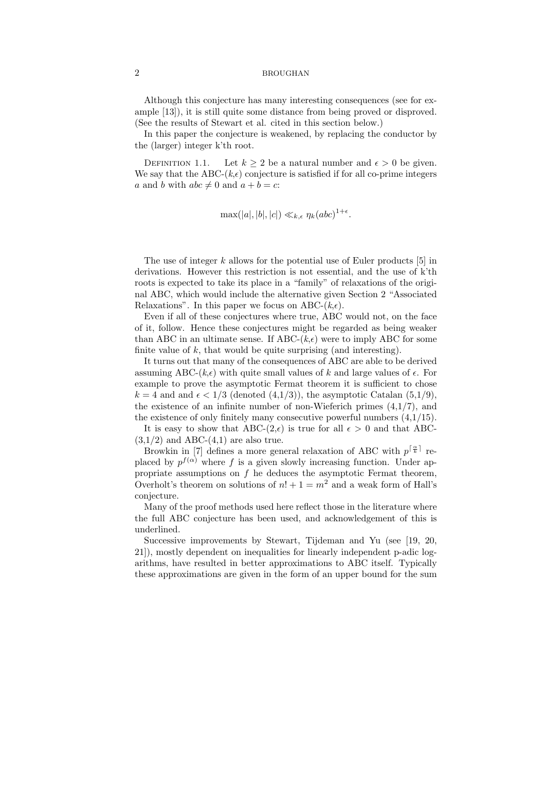Although this conjecture has many interesting consequences (see for example [13]), it is still quite some distance from being proved or disproved. (See the results of Stewart et al. cited in this section below.)

In this paper the conjecture is weakened, by replacing the conductor by the (larger) integer k'th root.

DEFINITION 1.1. Let  $k > 2$  be a natural number and  $\epsilon > 0$  be given. We say that the ABC- $(k, \epsilon)$  conjecture is satisfied if for all co-prime integers a and b with  $abc \neq 0$  and  $a + b = c$ :

$$
\max(|a|, |b|, |c|) \ll_{k,\epsilon} \eta_k (abc)^{1+\epsilon}.
$$

The use of integer  $k$  allows for the potential use of Euler products [5] in derivations. However this restriction is not essential, and the use of k'th roots is expected to take its place in a "family" of relaxations of the original ABC, which would include the alternative given Section 2 "Associated Relaxations". In this paper we focus on ABC- $(k, \epsilon)$ .

Even if all of these conjectures where true, ABC would not, on the face of it, follow. Hence these conjectures might be regarded as being weaker than ABC in an ultimate sense. If ABC- $(k, \epsilon)$  were to imply ABC for some finite value of  $k$ , that would be quite surprising (and interesting).

It turns out that many of the consequences of ABC are able to be derived assuming ABC- $(k, \epsilon)$  with quite small values of k and large values of  $\epsilon$ . For example to prove the asymptotic Fermat theorem it is sufficient to chose  $k = 4$  and and  $\epsilon < 1/3$  (denoted  $(4,1/3)$ ), the asymptotic Catalan  $(5,1/9)$ , the existence of an infinite number of non-Wieferich primes (4,1/7), and the existence of only finitely many consecutive powerful numbers  $(4,1/15)$ .

It is easy to show that ABC- $(2,\epsilon)$  is true for all  $\epsilon > 0$  and that ABC- $(3,1/2)$  and ABC- $(4,1)$  are also true.

Browkin in [7] defines a more general relaxation of ABC with  $p^{\lceil \frac{\alpha}{k} \rceil}$  replaced by  $p^{f(\alpha)}$  where f is a given slowly increasing function. Under appropriate assumptions on  $f$  he deduces the asymptotic Fermat theorem, Overholt's theorem on solutions of  $n! + 1 = m^2$  and a weak form of Hall's conjecture.

Many of the proof methods used here reflect those in the literature where the full ABC conjecture has been used, and acknowledgement of this is underlined.

Successive improvements by Stewart, Tijdeman and Yu (see [19, 20, 21]), mostly dependent on inequalities for linearly independent p-adic logarithms, have resulted in better approximations to ABC itself. Typically these approximations are given in the form of an upper bound for the sum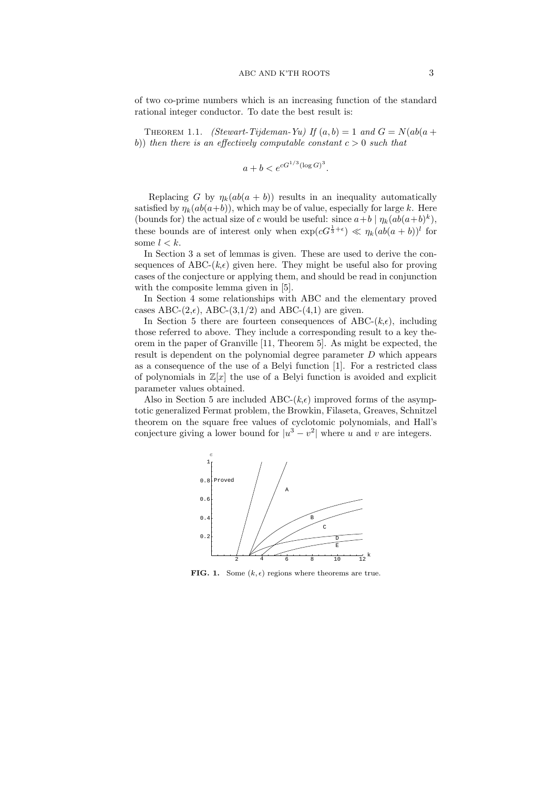of two co-prime numbers which is an increasing function of the standard rational integer conductor. To date the best result is:

THEOREM 1.1. (Stewart-Tijdeman-Yu) If  $(a, b) = 1$  and  $G = N(ab(a + b))$ b)) then there is an effectively computable constant  $c > 0$  such that

$$
a + b < e^{cG^{1/3}(\log G)^3}.
$$

Replacing G by  $\eta_k(ab(a + b))$  results in an inequality automatically satisfied by  $\eta_k(ab(a+b))$ , which may be of value, especially for large k. Here (bounds for) the actual size of c would be useful: since  $a+b \mid \eta_k(ab(a+b)^k)$ , these bounds are of interest only when  $\exp(cG^{\frac{1}{3}+\epsilon}) \ll \eta_k(ab(a+b))^l$  for some  $l < k$ .

In Section 3 a set of lemmas is given. These are used to derive the consequences of ABC- $(k,\epsilon)$  given here. They might be useful also for proving cases of the conjecture or applying them, and should be read in conjunction with the composite lemma given in  $[5]$ .

In Section 4 some relationships with ABC and the elementary proved cases ABC- $(2,\epsilon)$ , ABC- $(3,1/2)$  and ABC- $(4,1)$  are given.

In Section 5 there are fourteen consequences of ABC- $(k, \epsilon)$ , including those referred to above. They include a corresponding result to a key theorem in the paper of Granville [11, Theorem 5]. As might be expected, the result is dependent on the polynomial degree parameter D which appears as a consequence of the use of a Belyi function [1]. For a restricted class of polynomials in  $\mathbb{Z}[x]$  the use of a Belyi function is avoided and explicit parameter values obtained.

Also in Section 5 are included ABC- $(k, \epsilon)$  improved forms of the asymptotic generalized Fermat problem, the Browkin, Filaseta, Greaves, Schnitzel theorem on the square free values of cyclotomic polynomials, and Hall's conjecture giving a lower bound for  $|u^3 - v^2|$  where u and v are integers.



FIG. 1. Some  $(k, \epsilon)$  regions where theorems are true.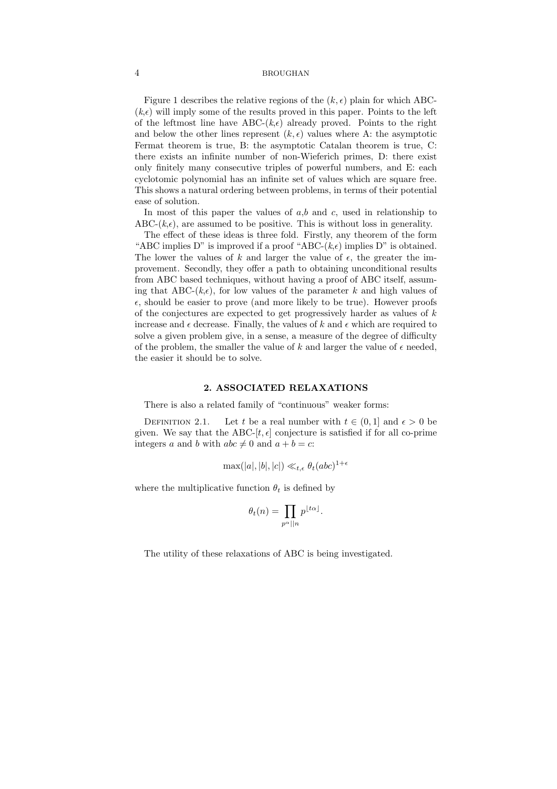Figure 1 describes the relative regions of the  $(k, \epsilon)$  plain for which ABC- $(k, \epsilon)$  will imply some of the results proved in this paper. Points to the left of the leftmost line have ABC- $(k,\epsilon)$  already proved. Points to the right and below the other lines represent  $(k, \epsilon)$  values where A: the asymptotic Fermat theorem is true, B: the asymptotic Catalan theorem is true, C: there exists an infinite number of non-Wieferich primes, D: there exist only finitely many consecutive triples of powerful numbers, and E: each cyclotomic polynomial has an infinite set of values which are square free. This shows a natural ordering between problems, in terms of their potential ease of solution.

In most of this paper the values of  $a,b$  and  $c$ , used in relationship to ABC- $(k,\epsilon)$ , are assumed to be positive. This is without loss in generality.

The effect of these ideas is three fold. Firstly, any theorem of the form "ABC implies D" is improved if a proof "ABC- $(k, \epsilon)$  implies D" is obtained. The lower the values of k and larger the value of  $\epsilon$ , the greater the improvement. Secondly, they offer a path to obtaining unconditional results from ABC based techniques, without having a proof of ABC itself, assuming that ABC- $(k, \epsilon)$ , for low values of the parameter k and high values of  $\epsilon$ , should be easier to prove (and more likely to be true). However proofs of the conjectures are expected to get progressively harder as values of  $k$ increase and  $\epsilon$  decrease. Finally, the values of k and  $\epsilon$  which are required to solve a given problem give, in a sense, a measure of the degree of difficulty of the problem, the smaller the value of k and larger the value of  $\epsilon$  needed, the easier it should be to solve.

#### 2. ASSOCIATED RELAXATIONS

There is also a related family of "continuous" weaker forms:

DEFINITION 2.1. Let t be a real number with  $t \in (0, 1]$  and  $\epsilon > 0$  be given. We say that the ABC-[t,  $\epsilon$ ] conjecture is satisfied if for all co-prime integers a and b with  $abc \neq 0$  and  $a + b = c$ :

$$
\max(|a|, |b|, |c|) \ll_{t, \epsilon} \theta_t (abc)^{1+\epsilon}
$$

where the multiplicative function  $\theta_t$  is defined by

$$
\theta_t(n) = \prod_{p^{\alpha} \mid |n} p^{\lfloor t\alpha \rfloor}.
$$

The utility of these relaxations of ABC is being investigated.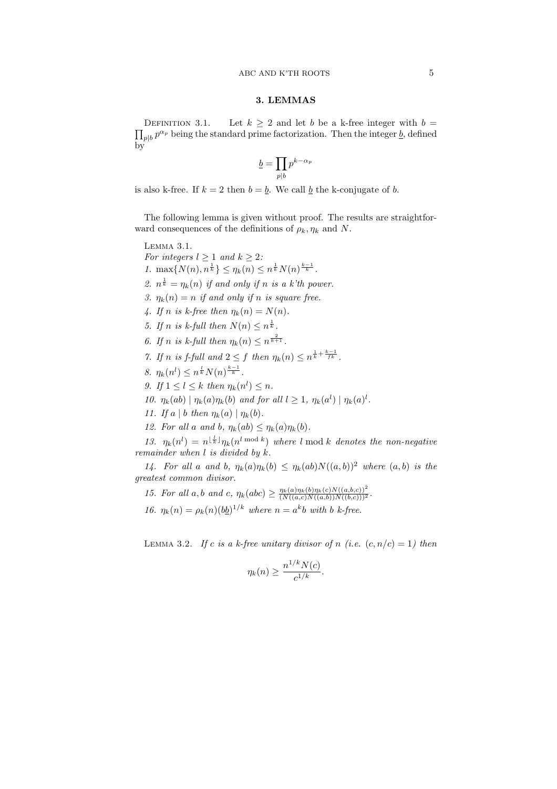# 3. LEMMAS

 $\overline{a}$ DEFINITION 3.1. Let  $k \geq 2$  and let b be a k-free integer with  $b =$  $p|b|p^{\alpha_p}$  being the standard prime factorization. Then the integer  $\underline{b}$ , defined by

$$
\underline{b} = \prod_{p|b} p^{k - \alpha_p}
$$

is also k-free. If  $k = 2$  then  $b = \underline{b}$ . We call  $\underline{b}$  the k-conjugate of b.

The following lemma is given without proof. The results are straightforward consequences of the definitions of  $\rho_k$ ,  $\eta_k$  and N.

# Lemma 3.1. For integers  $l > 1$  and  $k > 2$ : 1.  $\max\{N(n), n^{\frac{1}{k}}\} \leq \eta_k(n) \leq n^{\frac{1}{k}} N(n)^{\frac{k-1}{k}}$ . 2.  $n^{\frac{1}{k}} = \eta_k(n)$  if and only if n is a k'th power. 3.  $\eta_k(n) = n$  if and only if n is square free. 4. If n is k-free then  $\eta_k(n) = N(n)$ . 5. If n is k-full then  $N(n) \leq n^{\frac{1}{k}}$ . 6. If n is k-full then  $\eta_k(n) \leq n^{\frac{2}{k+1}}$ . 7. If n is f-full and  $2 \leq f$  then  $\eta_k(n) \leq n^{\frac{1}{k} + \frac{k-1}{fk}}$ . 8.  $\eta_k(n^l) \leq n^{\frac{l}{k}} N(n)^{\frac{k-1}{k}}$ . 9. If  $1 \leq l \leq k$  then  $\eta_k(n^l) \leq n$ . 10.  $\eta_k(ab) | \eta_k(a)\eta_k(b)$  and for all  $l \geq 1$ ,  $\eta_k(a^l) | \eta_k(a)^l$ . 11. If a | b then  $\eta_k(a) | \eta_k(b)$ . 12. For all a and b,  $\eta_k(ab) \leq \eta_k(a)\eta_k(b)$ .

13.  $\eta_k(n^l) = n^{\lfloor \frac{l}{k} \rfloor} \eta_k(n^{l \mod k})$  where l mod k denotes the non-negative remainder when  $l$  is divided by  $k$ .

14. For all a and b,  $\eta_k(a)\eta_k(b) \leq \eta_k(ab)N((a, b))^2$  where  $(a, b)$  is the greatest common divisor.

15. For all a, b and c,  $\eta_k(abc) \geq \frac{\eta_k(a)\eta_k(b)\eta_k(c)N((a,b,c))^2}{(N((a,c)N((a,b))N((b,c)))^2}$ .

16.  $\eta_k(n) = \rho_k(n) (b \underline{b})^{1/k}$  where  $n = a^k b$  with b k-free.

LEMMA 3.2. If c is a k-free unitary divisor of n (i.e.  $(c, n/c) = 1$ ) then

$$
\eta_k(n) \ge \frac{n^{1/k}N(c)}{c^{1/k}}.
$$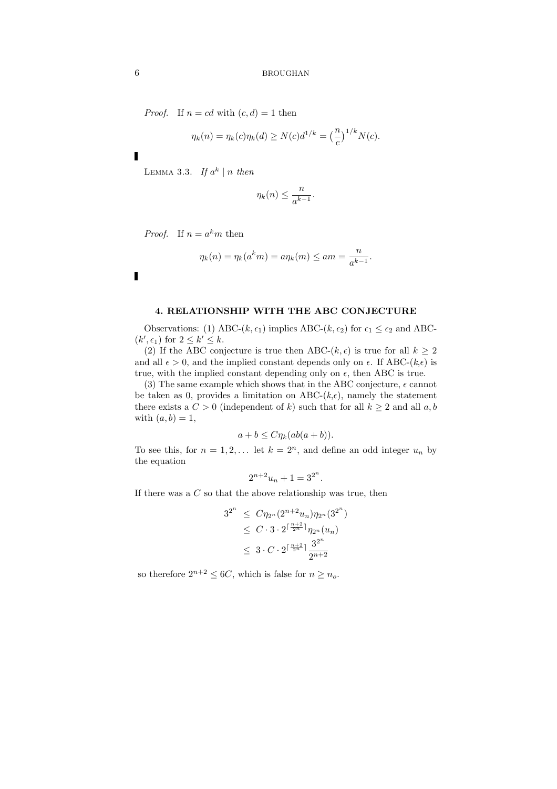*Proof.* If  $n = cd$  with  $(c, d) = 1$  then

$$
\eta_k(n) = \eta_k(c)\eta_k(d) \ge N(c)d^{1/k} = \left(\frac{n}{c}\right)^{1/k}N(c).
$$

Ī

LEMMA 3.3. If  $a^k \mid n$  then

$$
\eta_k(n) \le \frac{n}{a^{k-1}}.
$$

*Proof.* If  $n = a^k m$  then

$$
\eta_k(n)=\eta_k(a^k m)=a\eta_k(m)\le am=\frac{n}{a^{k-1}}.
$$

 $\blacksquare$ 

# 4. RELATIONSHIP WITH THE ABC CONJECTURE

Observations: (1) ABC-( $k, \epsilon_1$ ) implies ABC-( $k, \epsilon_2$ ) for  $\epsilon_1 \leq \epsilon_2$  and ABC- $(k', \epsilon_1)$  for  $2 \leq k' \leq k$ .

(2) If the ABC conjecture is true then ABC- $(k, \epsilon)$  is true for all  $k \geq 2$ and all  $\epsilon > 0$ , and the implied constant depends only on  $\epsilon$ . If ABC-( $k, \epsilon$ ) is true, with the implied constant depending only on  $\epsilon$ , then ABC is true.

(3) The same example which shows that in the ABC conjecture,  $\epsilon$  cannot be taken as 0, provides a limitation on ABC- $(k, \epsilon)$ , namely the statement there exists a  $C > 0$  (independent of k) such that for all  $k > 2$  and all a, b with  $(a, b) = 1$ ,

$$
a + b \le C \eta_k (ab(a+b)).
$$

To see this, for  $n = 1, 2, \ldots$  let  $k = 2<sup>n</sup>$ , and define an odd integer  $u_n$  by the equation

$$
2^{n+2}u_n + 1 = 3^{2^n}.
$$

If there was a  $C$  so that the above relationship was true, then

$$
3^{2^n} \leq C \eta_{2^n} (2^{n+2} u_n) \eta_{2^n} (3^{2^n})
$$
  
\n
$$
\leq C \cdot 3 \cdot 2^{\lceil \frac{n+2}{2^n} \rceil} \eta_{2^n} (u_n)
$$
  
\n
$$
\leq 3 \cdot C \cdot 2^{\lceil \frac{n+2}{2^n} \rceil} \frac{3^{2^n}}{2^{n+2}}
$$

so therefore  $2^{n+2} \leq 6C$ , which is false for  $n \geq n_o$ .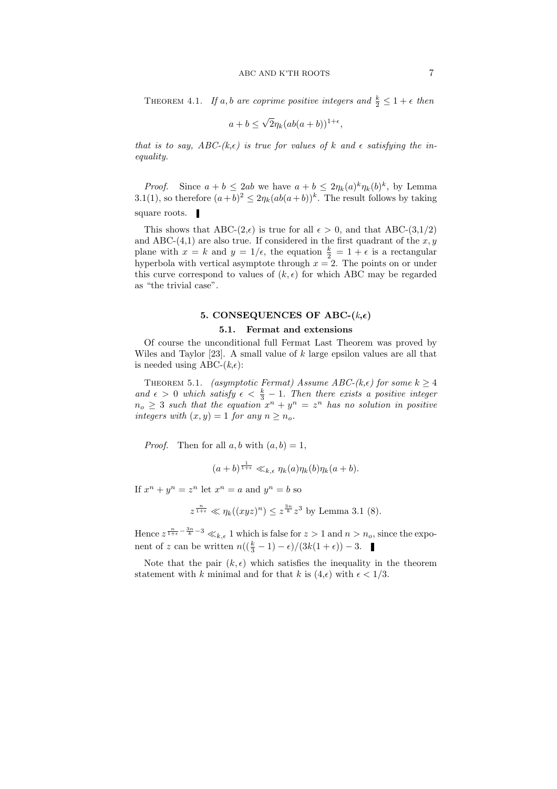THEOREM 4.1. If a, b are coprime positive integers and  $\frac{k}{2} \leq 1 + \epsilon$  then

$$
a+b \le \sqrt{2}\eta_k(ab(a+b))^{1+\epsilon},
$$

that is to say, ABC-(k, $\epsilon$ ) is true for values of k and  $\epsilon$  satisfying the inequality.

*Proof.* Since  $a + b \leq 2ab$  we have  $a + b \leq 2\eta_k(a)^k \eta_k(b)^k$ , by Lemma 3.1(1), so therefore  $(a+b)^2 \leq 2\eta_k(ab(a+b))^k$ . The result follows by taking square roots.  $\blacksquare$ 

This shows that ABC- $(2,\epsilon)$  is true for all  $\epsilon > 0$ , and that ABC- $(3,1/2)$ and ABC- $(4,1)$  are also true. If considered in the first quadrant of the x, y plane with  $x = k$  and  $y = 1/\epsilon$ , the equation  $\frac{k}{2} = 1 + \epsilon$  is a rectangular hyperbola with vertical asymptote through  $x = 2$ . The points on or under this curve correspond to values of  $(k, \epsilon)$  for which ABC may be regarded as "the trivial case".

# 5. CONSEQUENCES OF ABC- $(k,\epsilon)$

# 5.1. Fermat and extensions

Of course the unconditional full Fermat Last Theorem was proved by Wiles and Taylor  $[23]$ . A small value of k large epsilon values are all that is needed using ABC- $(k,\epsilon)$ :

THEOREM 5.1. (asymptotic Fermat) Assume ABC-( $k, \epsilon$ ) for some  $k \geq 4$ and  $\epsilon > 0$  which satisfy  $\epsilon < \frac{k}{3} - 1$ . Then there exists a positive integer  $n_o \geq 3$  such that the equation  $x^n + y^n = z^n$  has no solution in positive integers with  $(x, y) = 1$  for any  $n \geq n_o$ .

*Proof.* Then for all  $a, b$  with  $(a, b) = 1$ ,

$$
(a+b)^{\frac{1}{1+\epsilon}} \ll_{k,\epsilon} \eta_k(a)\eta_k(b)\eta_k(a+b).
$$

If  $x^n + y^n = z^n$  let  $x^n = a$  and  $y^n = b$  so

$$
z^{\frac{n}{1+\epsilon}} \ll \eta_k((xyz)^n) \leq z^{\frac{3n}{k}} z^3
$$
 by Lemma 3.1 (8).

Hence  $z^{\frac{n}{1+\epsilon}-\frac{3n}{k}-3} \ll_{k,\epsilon} 1$  which is false for  $z > 1$  and  $n > n_o$ , since the exponent of z can be written  $n((\frac{k}{3}-1)-\epsilon)/(3k(1+\epsilon)) - 3$ .

Note that the pair  $(k, \epsilon)$  which satisfies the inequality in the theorem statement with k minimal and for that k is  $(4,\epsilon)$  with  $\epsilon < 1/3$ .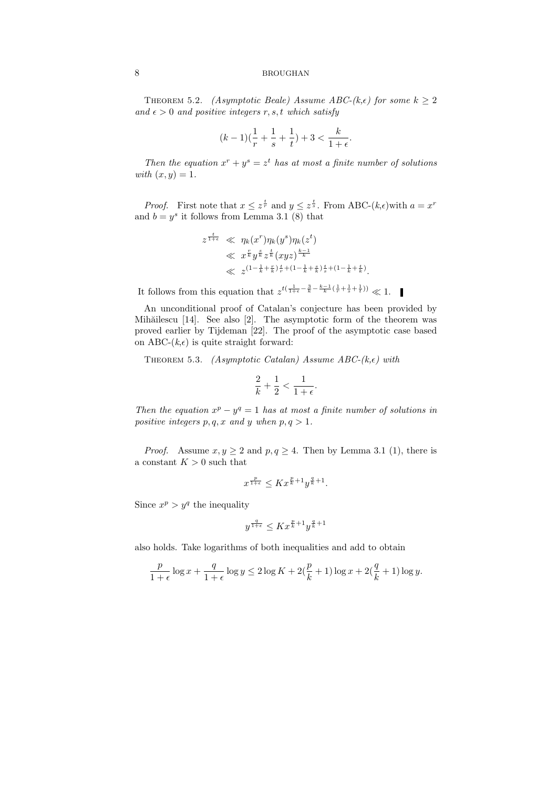THEOREM 5.2. *(Asymptotic Beale) Assume ABC-(k, e)* for some  $k > 2$ and  $\epsilon > 0$  and positive integers r, s, t which satisfy

$$
(k-1)(\frac{1}{r}+\frac{1}{s}+\frac{1}{t})+3<\frac{k}{1+\epsilon}.
$$

Then the equation  $x^r + y^s = z^t$  has at most a finite number of solutions with  $(x, y) = 1$ .

*Proof.* First note that  $x \leq z^{\frac{t}{r}}$  and  $y \leq z^{\frac{t}{s}}$ . From ABC- $(k,\epsilon)$  with  $a = x^r$ and  $b = y^s$  it follows from Lemma 3.1 (8) that

$$
z^{\frac{t}{1+\epsilon}} \ll \eta_k(x^r) \eta_k(y^s) \eta_k(z^t) \n\ll x^{\frac{r}{k}} y^{\frac{s}{k}} z^{\frac{t}{k}} (xyz)^{\frac{k-1}{k}} \n\ll z^{(1-\frac{1}{k}+\frac{r}{k})\frac{t}{r} + (1-\frac{1}{k}+\frac{s}{k})\frac{t}{s} + (1-\frac{1}{k}+\frac{t}{k})}.
$$

It follows from this equation that  $z^{t(\frac{1}{1+\epsilon}-\frac{3}{k}-\frac{k-1}{k}(\frac{1}{r}+\frac{1}{s}+\frac{1}{t}))} \ll 1$ .

An unconditional proof of Catalan's conjecture has been provided by Mihăilescu [14]. See also [2]. The asymptotic form of the theorem was proved earlier by Tijdeman [22]. The proof of the asymptotic case based on ABC- $(k,\epsilon)$  is quite straight forward:

THEOREM 5.3. (Asymptotic Catalan) Assume ABC-( $k, \epsilon$ ) with

$$
\frac{2}{k} + \frac{1}{2} < \frac{1}{1 + \epsilon}.
$$

Then the equation  $x^p - y^q = 1$  has at most a finite number of solutions in positive integers  $p, q, x$  and y when  $p, q > 1$ .

*Proof.* Assume  $x, y \ge 2$  and  $p, q \ge 4$ . Then by Lemma 3.1 (1), there is a constant  $K > 0$  such that

$$
x^{\frac{p}{1+\epsilon}} \leq K x^{\frac{p}{k}+1} y^{\frac{q}{k}+1}.
$$

Since  $x^p > y^q$  the inequality

$$
y^{\frac{q}{1+\epsilon}} \leq K x^{\frac{p}{k}+1} y^{\frac{q}{k}+1}
$$

also holds. Take logarithms of both inequalities and add to obtain

$$
\frac{p}{1+\epsilon}\log x + \frac{q}{1+\epsilon}\log y \le 2\log K + 2(\frac{p}{k}+1)\log x + 2(\frac{q}{k}+1)\log y.
$$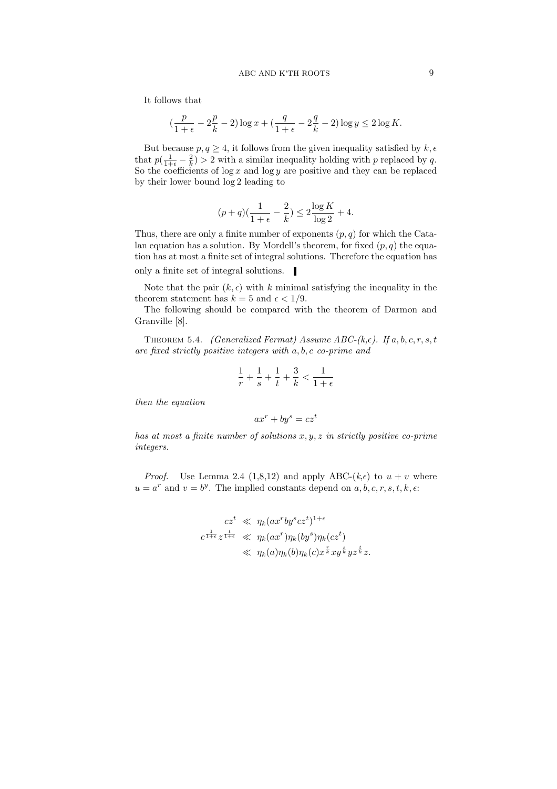It follows that

$$
\left(\frac{p}{1+\epsilon} - 2\frac{p}{k} - 2\right) \log x + \left(\frac{q}{1+\epsilon} - 2\frac{q}{k} - 2\right) \log y \le 2 \log K.
$$

But because  $p, q \geq 4$ , it follows from the given inequality satisfied by  $k, \epsilon$ that  $p(\frac{1}{1+\epsilon} - \frac{2}{k}) > 2$  with a similar inequality holding with p replaced by q. So the coefficients of  $\log x$  and  $\log y$  are positive and they can be replaced by their lower bound log 2 leading to

$$
(p+q)(\frac{1}{1+\epsilon}-\frac{2}{k})\leq 2\frac{\log K}{\log 2}+4.
$$

Thus, there are only a finite number of exponents  $(p, q)$  for which the Catalan equation has a solution. By Mordell's theorem, for fixed  $(p, q)$  the equation has at most a finite set of integral solutions. Therefore the equation has

only a finite set of integral solutions.  $\blacksquare$ 

Note that the pair  $(k, \epsilon)$  with k minimal satisfying the inequality in the theorem statement has  $k = 5$  and  $\epsilon < 1/9$ .

The following should be compared with the theorem of Darmon and Granville [8].

THEOREM 5.4. (Generalized Fermat) Assume ABC-( $k, \epsilon$ ). If  $a, b, c, r, s, t$ are fixed strictly positive integers with a, b, c co-prime and

$$
\frac{1}{r}+\frac{1}{s}+\frac{1}{t}+\frac{3}{k}<\frac{1}{1+\epsilon}
$$

then the equation

$$
ax^r + by^s = cz^t
$$

has at most a finite number of solutions  $x, y, z$  in strictly positive co-prime integers.

*Proof.* Use Lemma 2.4 (1,8,12) and apply ABC-( $k, \epsilon$ ) to  $u + v$  where  $u = a^r$  and  $v = b^y$ . The implied constants depend on  $a, b, c, r, s, t, k, \epsilon$ .

$$
cz^{t} \ll \eta_k (ax^{r}by^{s}cz^{t})^{1+\epsilon}
$$
  

$$
c^{\frac{1}{1+\epsilon}}z^{\frac{t}{1+\epsilon}} \ll \eta_k (ax^{r})\eta_k (by^{s})\eta_k (cz^{t})
$$
  

$$
\ll \eta_k(a)\eta_k(b)\eta_k(c)x^{\frac{r}{k}}xy^{\frac{s}{k}}yz^{\frac{t}{k}}z.
$$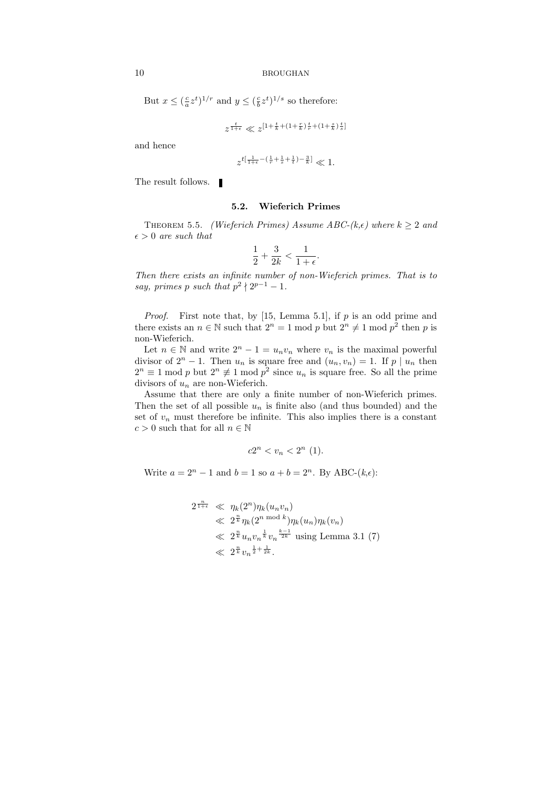But  $x \leq (\frac{c}{a}z^t)^{1/r}$  and  $y \leq (\frac{c}{b}z^t)^{1/s}$  so therefore:

$$
z^{\frac{t}{1+\epsilon}} \ll z^{[1+\frac{t}{k} + (1+\frac{r}{k})\frac{t}{r} + (1+\frac{s}{k})\frac{t}{s}]}
$$

and hence

$$
z^{t[\frac{1}{1+\epsilon}-(\frac{1}{r}+\frac{1}{s}+\frac{1}{t})-\frac{3}{k}]} \ll 1.
$$

The result follows.  $\blacksquare$ 

#### 5.2. Wieferich Primes

THEOREM 5.5. (Wieferich Primes) Assume ABC-(k, $\epsilon$ ) where  $k \geq 2$  and  $\epsilon > 0$  are such that

$$
\frac{1}{2} + \frac{3}{2k} < \frac{1}{1 + \epsilon}.
$$

Then there exists an infinite number of non-Wieferich primes. That is to say, primes p such that  $p^2 \nmid 2^{p-1} - 1$ .

*Proof.* First note that, by [15, Lemma 5.1], if  $p$  is an odd prime and there exists an  $n \in \mathbb{N}$  such that  $2^n = 1 \mod p$  but  $2^n \neq 1 \mod p^2$  then p is non-Wieferich.

Let  $n \in \mathbb{N}$  and write  $2^n - 1 = u_n v_n$  where  $v_n$  is the maximal powerful divisor of  $2^n - 1$ . Then  $u_n$  is square free and  $(u_n, v_n) = 1$ . If  $p \mid u_n$  then  $2^n \equiv 1 \mod p$  but  $2^n \not\equiv 1 \mod p^2$  since  $u_n$  is square free. So all the prime divisors of  $u_n$  are non-Wieferich.

Assume that there are only a finite number of non-Wieferich primes. Then the set of all possible  $u_n$  is finite also (and thus bounded) and the set of  $v_n$  must therefore be infinite. This also implies there is a constant  $c > 0$  such that for all  $n \in \mathbb{N}$ 

$$
c2^n < v_n < 2^n \ (1).
$$

Write  $a = 2^n - 1$  and  $b = 1$  so  $a + b = 2^n$ . By ABC- $(k, \epsilon)$ :

$$
2^{\frac{n}{1+\epsilon}} \ll \eta_k(2^n)\eta_k(u_nv_n)
$$
  
\$\ll 2^{\frac{n}{k}}\eta\_k(2^{n \mod k})\eta\_k(u\_n)\eta\_k(v\_n)\$  
\$\ll 2^{\frac{n}{k}}u\_nv\_n^{\frac{1}{k}}v\_n^{\frac{k-1}{2k}} \text{ using Lemma 3.1 (7)}\$  
\$\ll 2^{\frac{n}{k}}v\_n^{\frac{1}{2}+\frac{1}{2k}}\$.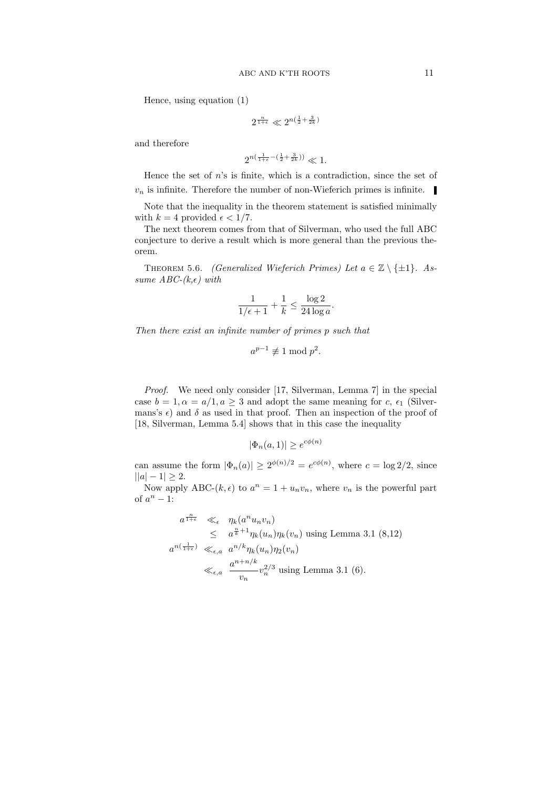Hence, using equation (1)

$$
2^{\frac{n}{1+\epsilon}}\ll 2^{n(\frac12+\frac{3}{2k})}
$$

and therefore

$$
2^{n(\frac{1}{1+\epsilon} - (\frac{1}{2} + \frac{3}{2k}))} \ll 1.
$$

Hence the set of  $n$ 's is finite, which is a contradiction, since the set of  $v_n$  is infinite. Therefore the number of non-Wieferich primes is infinite.

Note that the inequality in the theorem statement is satisfied minimally with  $k = 4$  provided  $\epsilon < 1/7$ .

The next theorem comes from that of Silverman, who used the full ABC conjecture to derive a result which is more general than the previous theorem.

THEOREM 5.6. *(Generalized Wieferich Primes)* Let  $a \in \mathbb{Z} \setminus \{\pm 1\}$ . Assume  $ABC-(k,\epsilon)$  with

$$
\frac{1}{1/\epsilon+1} + \frac{1}{k} \le \frac{\log 2}{24 \log a}.
$$

Then there exist an infinite number of primes p such that

$$
a^{p-1} \not\equiv 1 \bmod p^2.
$$

Proof. We need only consider [17, Silverman, Lemma 7] in the special case  $b = 1, \alpha = a/1, a \geq 3$  and adopt the same meaning for c,  $\epsilon_1$  (Silvermans's  $\epsilon$ ) and  $\delta$  as used in that proof. Then an inspection of the proof of [18, Silverman, Lemma 5.4] shows that in this case the inequality

$$
|\Phi_n(a,1)| \ge e^{c\phi(n)}
$$

can assume the form  $|\Phi_n(a)| \geq 2^{\phi(n)/2} = e^{c\phi(n)}$ , where  $c = \log 2/2$ , since  $||a|-1|\geq 2.$ 

Now apply ABC- $(k, \epsilon)$  to  $a^n = 1 + u_n v_n$ , where  $v_n$  is the powerful part of  $a^n - 1$ :

$$
a^{\frac{n}{1+\epsilon}} \ll_{\epsilon} \eta_k(a^n u_n v_n)
$$
  
\n
$$
\leq a^{\frac{n}{k}+1} \eta_k(u_n) \eta_k(v_n) \text{ using Lemma 3.1 (8,12)}
$$
  
\n
$$
a^{n(\frac{1}{1+\epsilon})} \ll_{\epsilon,a} a^{n/k} \eta_k(u_n) \eta_2(v_n)
$$
  
\n
$$
\ll_{\epsilon,a} \frac{a^{n+n/k}}{v_n} v_n^{2/3} \text{ using Lemma 3.1 (6)}.
$$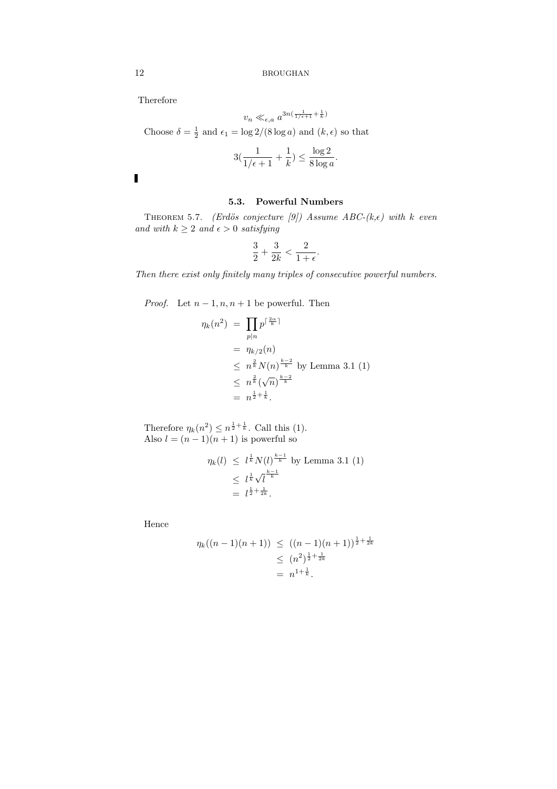Therefore

$$
v_n \ll_{\epsilon, a} a^{3n(\frac{1}{1/\epsilon+1} + \frac{1}{k})}
$$

Choose  $\delta = \frac{1}{2}$  and  $\epsilon_1 = \log 2/(8 \log a)$  and  $(k, \epsilon)$  so that

$$
3(\frac{1}{1/\epsilon+1}+\frac{1}{k})\leq \frac{\log 2}{8\log a}.
$$

# 5.3. Powerful Numbers

THEOREM 5.7. (Erdös conjecture [9]) Assume ABC-(k, $\epsilon$ ) with k even and with  $k\geq 2$  and  $\epsilon>0$  satisfying

$$
\frac{3}{2}+\frac{3}{2k}<\frac{2}{1+\epsilon}.
$$

Then there exist only finitely many triples of consecutive powerful numbers.

*Proof.* Let  $n-1, n, n+1$  be powerful. Then

$$
\eta_k(n^2) = \prod_{p|n} p^{\lceil \frac{2\alpha}{k} \rceil}
$$
  
=  $\eta_{k/2}(n)$   
 $\leq n^{\frac{2}{k}} N(n)^{\frac{k-2}{k}}$  by Lemma 3.1 (1)  
 $\leq n^{\frac{2}{k}} (\sqrt{n})^{\frac{k-2}{k}}$   
=  $n^{\frac{1}{2} + \frac{1}{k}}$ .

Therefore  $\eta_k(n^2) \leq n^{\frac{1}{2} + \frac{1}{k}}$ . Call this (1). Also  $l = (n-1)(n+1)$  is powerful so

$$
\eta_k(l) \le l^{\frac{1}{k}} N(l)^{\frac{k-1}{k}} \text{ by Lemma 3.1 (1)}
$$
  
\$\le l^{\frac{1}{k}} \sqrt{l^{\frac{k-1}{k}}}\$  

$$
= l^{\frac{1}{2} + \frac{1}{2k}}.
$$

Hence

$$
\eta_k((n-1)(n+1)) \le ((n-1)(n+1))^{\frac{1}{2} + \frac{1}{2k}}\\ \le (n^2)^{\frac{1}{2} + \frac{1}{2k}}\\ = n^{1 + \frac{1}{k}}.
$$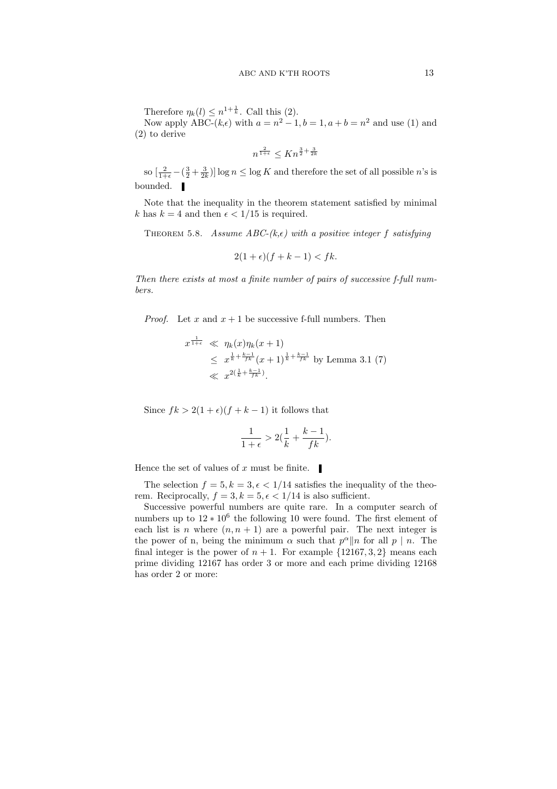Therefore  $\eta_k(l) \leq n^{1+\frac{1}{k}}$ . Call this (2).

Now apply ABC- $(k,\epsilon)$  with  $a = n^2 - 1, b = 1, a + b = n^2$  and use (1) and (2) to derive

$$
n^{\frac{2}{1+\epsilon}} \le Kn^{\frac{3}{2} + \frac{3}{2k}}
$$

so  $\left[\frac{2}{1+\epsilon} - \left(\frac{3}{2} + \frac{3}{2k}\right)\right] \log n \leq \log K$  and therefore the set of all possible n's is bounded.

Note that the inequality in the theorem statement satisfied by minimal k has  $k = 4$  and then  $\epsilon < 1/15$  is required.

THEOREM 5.8. Assume ABC-(k, $\epsilon$ ) with a positive integer f satisfying

$$
2(1+\epsilon)(f+k-1) < fk.
$$

Then there exists at most a finite number of pairs of successive f-full numbers.

*Proof.* Let x and  $x + 1$  be successive f-full numbers. Then

$$
x^{\frac{1}{1+\epsilon}} \ll \eta_k(x)\eta_k(x+1)
$$
  
\$\leq x^{\frac{1}{k} + \frac{k-1}{fk}} (x+1)^{\frac{1}{k} + \frac{k-1}{fk}} \text{ by Lemma 3.1 (7)}\$  
\$\ll x^{2(\frac{1}{k} + \frac{k-1}{fk})}\$.

Since  $fk > 2(1 + \epsilon)(f + k - 1)$  it follows that

$$
\frac{1}{1+\epsilon} > 2(\frac{1}{k} + \frac{k-1}{fk}).
$$

Hence the set of values of x must be finite.  $\blacksquare$ 

The selection  $f = 5, k = 3, \epsilon < 1/14$  satisfies the inequality of the theorem. Reciprocally,  $f = 3, k = 5, \epsilon < 1/14$  is also sufficient.

Successive powerful numbers are quite rare. In a computer search of numbers up to  $12 * 10^6$  the following 10 were found. The first element of each list is n where  $(n, n + 1)$  are a powerful pair. The next integer is the power of n, being the minimum  $\alpha$  such that  $p^{\alpha}||n$  for all  $p \mid n$ . The final integer is the power of  $n + 1$ . For example  $\{12167, 3, 2\}$  means each prime dividing 12167 has order 3 or more and each prime dividing 12168 has order 2 or more: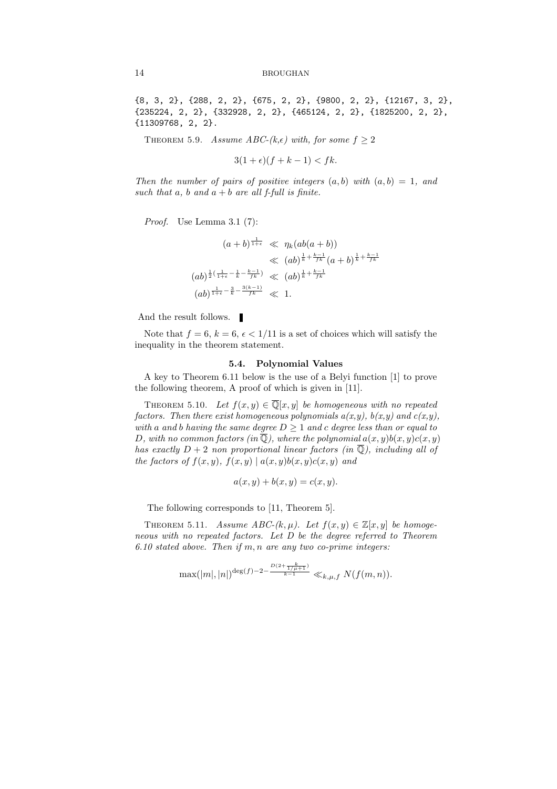{8, 3, 2}, {288, 2, 2}, {675, 2, 2}, {9800, 2, 2}, {12167, 3, 2}, {235224, 2, 2}, {332928, 2, 2}, {465124, 2, 2}, {1825200, 2, 2}, {11309768, 2, 2}.

THEOREM 5.9. Assume ABC-(k, $\epsilon$ ) with, for some  $f > 2$ 

$$
3(1+\epsilon)(f+k-1) < fk.
$$

Then the number of pairs of positive integers  $(a, b)$  with  $(a, b) = 1$ , and such that a, b and  $a + b$  are all f-full is finite.

Proof. Use Lemma 3.1 (7):

$$
(a + b)^{\frac{1}{1+\epsilon}} \ll \eta_k(ab(a + b))
$$
  
\$\ll\$  $(ab)^{\frac{1}{k} + \frac{k-1}{fk}} (a + b)^{\frac{1}{k} + \frac{k-1}{fk}}$   
 $(ab)^{\frac{1}{2}(\frac{1}{1+\epsilon} - \frac{1}{k} - \frac{k-1}{fk})} \ll (ab)^{\frac{1}{k} + \frac{k-1}{fk}}$   
 $(ab)^{\frac{1}{1+\epsilon} - \frac{3}{k} - \frac{3(k-1)}{fk}} \ll 1.$ 

And the result follows.  $\Box$ 

Note that  $f = 6, k = 6, \epsilon < 1/11$  is a set of choices which will satisfy the inequality in the theorem statement.

# 5.4. Polynomial Values

A key to Theorem 6.11 below is the use of a Belyi function [1] to prove the following theorem, A proof of which is given in [11].

THEOREM 5.10. Let  $f(x, y) \in \overline{\mathbb{Q}}[x, y]$  be homogeneous with no repeated factors. Then there exist homogeneous polynomials  $a(x,y)$ ,  $b(x,y)$  and  $c(x,y)$ , with a and b having the same degree  $D \geq 1$  and c degree less than or equal to D, with no common factors (in  $\mathbb{Q}$ ), where the polynomial  $a(x, y)b(x, y)c(x, y)$ has exactly  $D + 2$  non proportional linear factors (in  $\overline{Q}$ ), including all of the factors of  $f(x, y)$ ,  $f(x, y) | a(x, y)b(x, y)c(x, y)$  and

$$
a(x, y) + b(x, y) = c(x, y).
$$

The following corresponds to [11, Theorem 5].

THEOREM 5.11. Assume ABC- $(k, \mu)$ . Let  $f(x, y) \in \mathbb{Z}[x, y]$  be homogeneous with no repeated factors. Let D be the degree referred to Theorem  $6.10$  stated above. Then if  $m, n$  are any two co-prime integers:

$$
\max(|m|,|n|)^{\deg(f)-2-\frac{D(2+\frac{k}{1/\mu+1})}{k-1}} \ll_{k,\mu,f} N(f(m,n)).
$$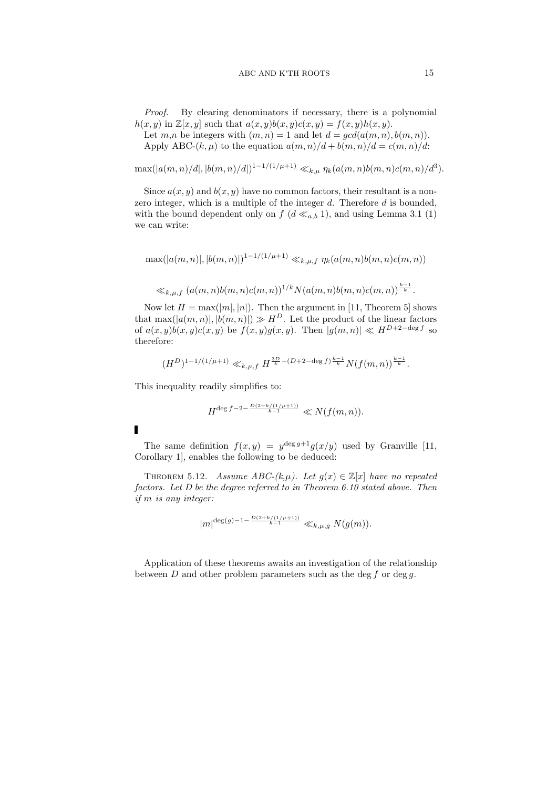Proof. By clearing denominators if necessary, there is a polynomial  $h(x, y)$  in  $\mathbb{Z}[x, y]$  such that  $a(x, y)b(x, y)c(x, y) = f(x, y)h(x, y)$ .

Let  $m,n$  be integers with  $(m,n) = 1$  and let  $d = \gcd(a(m,n), b(m,n))$ . Apply ABC- $(k, \mu)$  to the equation  $a(m, n)/d + b(m, n)/d = c(m, n)/d$ :

 $\max(|a(m,n)/d|, |b(m,n)/d|)^{1-1/(1/\mu+1)} \ll_{k,\mu} \eta_k(a(m,n)b(m,n)c(m,n)/d^3).$ 

Since  $a(x, y)$  and  $b(x, y)$  have no common factors, their resultant is a nonzero integer, which is a multiple of the integer  $d$ . Therefore  $d$  is bounded, with the bound dependent only on  $f$  ( $d \ll_{a,b} 1$ ), and using Lemma 3.1 (1) we can write:

$$
\max(|a(m,n)|, |b(m,n)|)^{1-1/(1/\mu+1)} \ll_{k,\mu,f} \eta_k(a(m,n)b(m,n)c(m,n))
$$

$$
\ll_{k,\mu,f} (a(m,n)b(m,n)c(m,n))^{1/k}N(a(m,n)b(m,n)c(m,n))^{\frac{k-1}{k}}.
$$

Now let  $H = \max(|m|, |n|)$ . Then the argument in [11, Theorem 5] shows that  $\max(|a(m, n)|, |b(m, n)|) \gg H^D$ . Let the product of the linear factors of  $a(x, y)b(x, y)c(x, y)$  be  $f(x, y)g(x, y)$ . Then  $|g(m, n)| \ll H^{D+2-\deg f}$  so therefore:

$$
(H^D)^{1-1/(1/\mu+1)} \ll_{k,\mu,f} H^{\frac{3D}{k} + (D+2-\deg f)^{\frac{k-1}{k}} } N(f(m,n))^{\frac{k-1}{k}}.
$$

This inequality readily simplifies to:

$$
H^{\deg f - 2 - \frac{D(2 + k/(1/\mu + 1))}{k - 1}} \ll N(f(m, n)).
$$

The same definition  $f(x, y) = y^{\deg g + 1} g(x/y)$  used by Granville [11, Corollary 1], enables the following to be deduced:

THEOREM 5.12. Assume ABC- $(k,\mu)$ . Let  $g(x) \in \mathbb{Z}[x]$  have no repeated factors. Let D be the degree referred to in Theorem 6.10 stated above. Then if m is any integer:

$$
|m|^{\deg(g)-1-\frac{D(2+k/(1/\mu+1))}{k-1}}\ll_{k,\mu,g}N(g(m)).
$$

Application of these theorems awaits an investigation of the relationship between  $D$  and other problem parameters such as the deg  $f$  or deg  $g$ .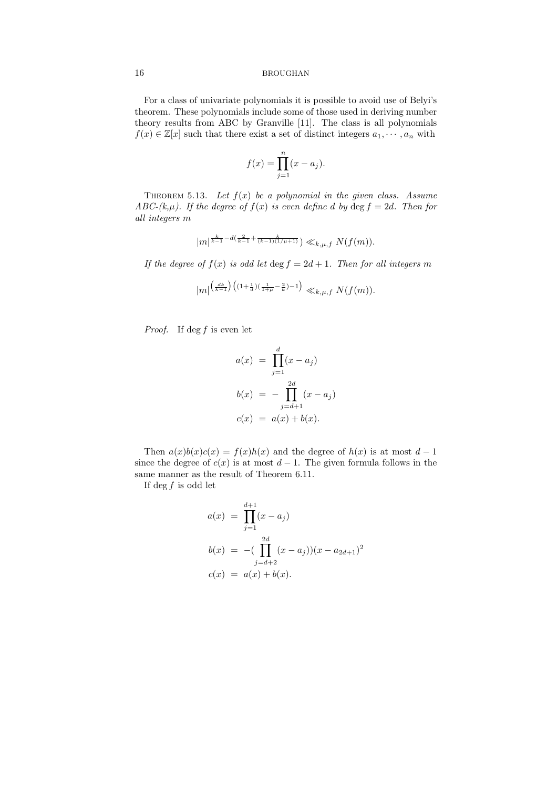For a class of univariate polynomials it is possible to avoid use of Belyi's theorem. These polynomials include some of those used in deriving number theory results from ABC by Granville [11]. The class is all polynomials  $f(x) \in \mathbb{Z}[x]$  such that there exist a set of distinct integers  $a_1, \dots, a_n$  with

$$
f(x) = \prod_{j=1}^{n} (x - a_j).
$$

THEOREM 5.13. Let  $f(x)$  be a polynomial in the given class. Assume ABC-(k, $\mu$ ). If the degree of  $f(x)$  is even define d by  $\deg f = 2d$ . Then for all integers m

$$
|m|^{\frac{k}{k-1}-d(\frac{2}{k-1}+\frac{k}{(k-1)(1/\mu+1)})}\ll_{k,\mu,f} N(f(m)).
$$

If the degree of  $f(x)$  is odd let  $\deg f = 2d + 1$ . Then for all integers m

$$
|m^{\left\lfloor\frac{dk}{k-1}\right\rfloor\left((1+\frac{1}{d})(\frac{1}{1+\mu}-\frac{2}{k})-1\right)}\ll_{k,\mu,f}N(f(m)).
$$

*Proof.* If  $\deg f$  is even let

$$
a(x) = \prod_{j=1}^{d} (x - a_j)
$$
  
\n
$$
b(x) = -\prod_{j=d+1}^{2d} (x - a_j)
$$
  
\n
$$
c(x) = a(x) + b(x).
$$

Then  $a(x)b(x)c(x) = f(x)h(x)$  and the degree of  $h(x)$  is at most  $d-1$ since the degree of  $c(x)$  is at most  $d-1$ . The given formula follows in the same manner as the result of Theorem 6.11.

If deg  $f$  is odd let

$$
a(x) = \prod_{j=1}^{d+1} (x - a_j)
$$
  
\n
$$
b(x) = -(\prod_{j=d+2}^{2d} (x - a_j))(x - a_{2d+1})^2
$$
  
\n
$$
c(x) = a(x) + b(x).
$$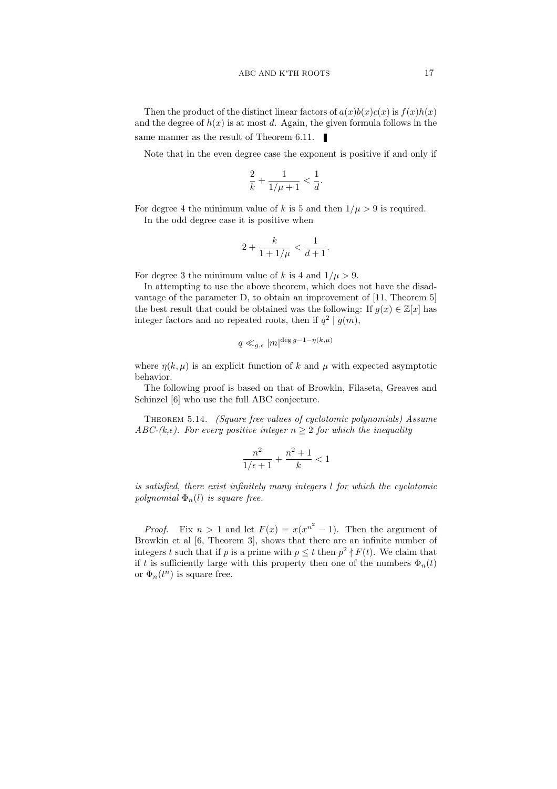Then the product of the distinct linear factors of  $a(x)b(x)c(x)$  is  $f(x)h(x)$ and the degree of  $h(x)$  is at most d. Again, the given formula follows in the same manner as the result of Theorem 6.11.

Note that in the even degree case the exponent is positive if and only if

$$
\frac{2}{k} + \frac{1}{1/\mu + 1} < \frac{1}{d}.
$$

For degree 4 the minimum value of k is 5 and then  $1/\mu > 9$  is required.

In the odd degree case it is positive when

$$
2+\frac{k}{1+1/\mu}<\frac{1}{d+1}.
$$

For degree 3 the minimum value of k is 4 and  $1/\mu > 9$ .

In attempting to use the above theorem, which does not have the disadvantage of the parameter D, to obtain an improvement of [11, Theorem 5] the best result that could be obtained was the following: If  $g(x) \in \mathbb{Z}[x]$  has integer factors and no repeated roots, then if  $q^2 | g(m)$ ,

$$
q\ll_{g,\epsilon} |m|^{\deg g-1-\eta(k,\mu)}
$$

where  $\eta(k,\mu)$  is an explicit function of k and  $\mu$  with expected asymptotic behavior.

The following proof is based on that of Browkin, Filaseta, Greaves and Schinzel [6] who use the full ABC conjecture.

Theorem 5.14. (Square free values of cyclotomic polynomials) Assume ABC-(k, $\epsilon$ ). For every positive integer  $n \geq 2$  for which the inequality

$$
\frac{n^2}{1/\epsilon+1} + \frac{n^2+1}{k} < 1
$$

is satisfied, there exist infinitely many integers l for which the cyclotomic polynomial  $\Phi_n(l)$  is square free.

*Proof.* Fix  $n > 1$  and let  $F(x) = x(x^{n^2} - 1)$ . Then the argument of Browkin et al [6, Theorem 3], shows that there are an infinite number of integers t such that if p is a prime with  $p \leq t$  then  $p^2 \nmid F(t)$ . We claim that if t is sufficiently large with this property then one of the numbers  $\Phi_n(t)$ or  $\Phi_n(t^n)$  is square free.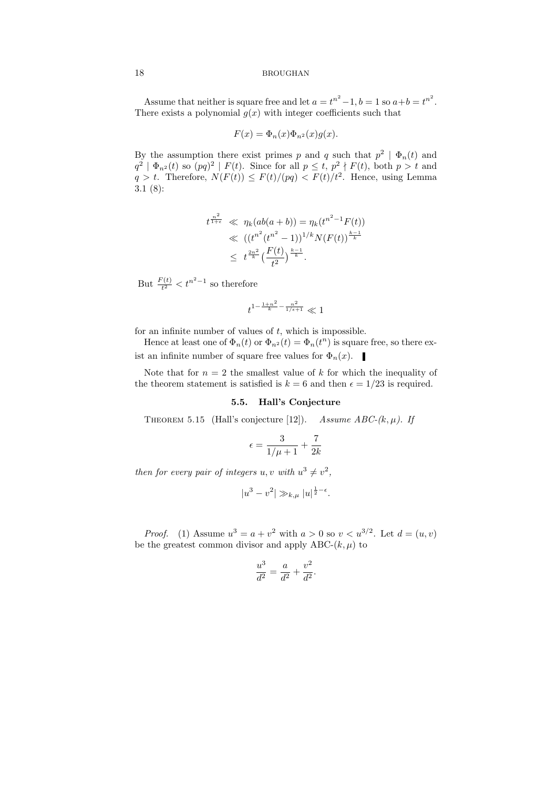Assume that neither is square free and let  $a = t^{n^2} - 1$ ,  $b = 1$  so  $a + b = t^{n^2}$ . There exists a polynomial  $g(x)$  with integer coefficients such that

$$
F(x) = \Phi_n(x)\Phi_{n^2}(x)g(x).
$$

By the assumption there exist primes p and q such that  $p^2 | \Phi_n(t)$  and  $q^2 | \Phi_{n^2}(t)$  so  $(pq)^2 | F(t)$ . Since for all  $p \le t$ ,  $p^2 \nmid F(t)$ , both  $p > t$  and  $q > t$ . Therefore,  $N(F(t)) \leq F(t)/(pq) < F(t)/t^2$ . Hence, using Lemma 3.1 (8):

$$
t^{\frac{n^2}{1+\epsilon}} \ll \eta_k(ab(a+b)) = \eta_k(t^{n^2-1}F(t))
$$
  

$$
\ll ((t^{n^2}(t^{n^2}-1))^{1/k}N(F(t))^{\frac{k-1}{k}}
$$
  

$$
\leq t^{\frac{2n^2}{k}}(\frac{F(t)}{t^2})^{\frac{k-1}{k}}.
$$

But  $\frac{F(t)}{t^2} < t^{n^2-1}$  so therefore

$$
t^{1-\frac{1+n^2}{k}-\frac{n^2}{1/\epsilon+1}}\ll 1
$$

for an infinite number of values of  $t$ , which is impossible.

Hence at least one of  $\Phi_n(t)$  or  $\Phi_{n^2}(t) = \Phi_n(t^n)$  is square free, so there exist an infinite number of square free values for  $\Phi_n(x)$ .

Note that for  $n = 2$  the smallest value of k for which the inequality of the theorem statement is satisfied is  $k = 6$  and then  $\epsilon = 1/23$  is required.

## 5.5. Hall's Conjecture

THEOREM 5.15 (Hall's conjecture [12]). Assume ABC- $(k, \mu)$ . If

$$
\epsilon = \frac{3}{1/\mu + 1} + \frac{7}{2k}
$$

then for every pair of integers  $u, v$  with  $u^3 \neq v^2$ ,

$$
|u^3 - v^2| \gg_{k,\mu} |u|^{\frac{1}{2} - \epsilon}.
$$

*Proof.* (1) Assume  $u^3 = a + v^2$  with  $a > 0$  so  $v < u^{3/2}$ . Let  $d = (u, v)$ be the greatest common divisor and apply ABC- $(k, \mu)$  to

$$
\frac{u^3}{d^2} = \frac{a}{d^2} + \frac{v^2}{d^2}.
$$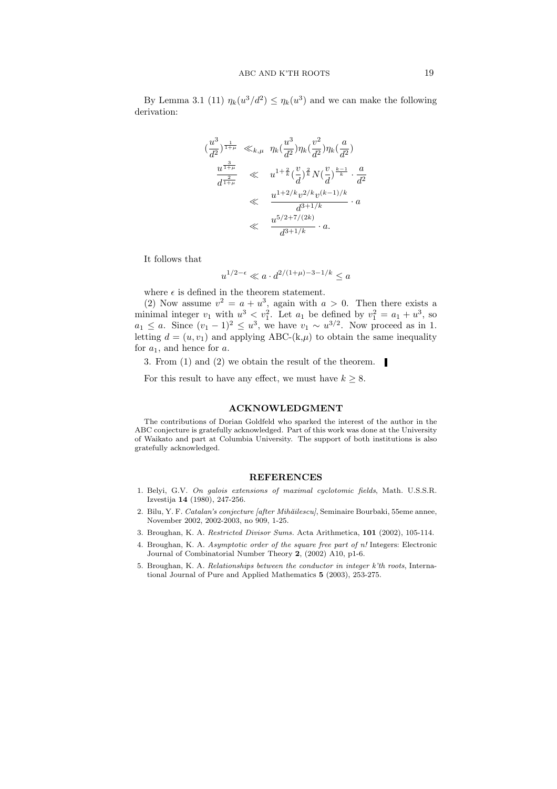By Lemma 3.1 (11)  $\eta_k(u^3/d^2) \leq \eta_k(u^3)$  and we can make the following derivation:

$$
\begin{array}{rcl}\n(\frac{u^3}{d^2})^{\frac{1}{1+\mu}} & \ll_{k,\mu} & \eta_k(\frac{u^3}{d^2})\eta_k(\frac{v^2}{d^2})\eta_k(\frac{a}{d^2}) \\
& & \frac{u^{\frac{3}{1+\mu}}}{d^{\frac{2}{1+\mu}}} & \ll & u^{1+\frac{2}{k}}(\frac{v}{d})^{\frac{2}{k}}N(\frac{v}{d})^{\frac{k-1}{k}} \cdot \frac{a}{d^2} \\
& & \ll & \frac{u^{1+2/k}v^{2/k}v^{(k-1)/k}}{d^{3+1/k}} \cdot a \\
& & \ll & \frac{u^{5/2+7/(2k)}}{d^{3+1/k}} \cdot a.\n\end{array}
$$

It follows that

$$
u^{1/2-\epsilon} \ll a \cdot d^{2/(1+\mu)-3-1/k} \le a
$$

where  $\epsilon$  is defined in the theorem statement.

u

(2) Now assume  $v^2 = a + u^3$ , again with  $a > 0$ . Then there exists a minimal integer  $v_1$  with  $u^3 < v_1^2$ . Let  $a_1$  be defined by  $v_1^2 = a_1 + u^3$ , so  $a_1 \leq a$ . Since  $(v_1 - 1)^2 \leq u^3$ , we have  $v_1 \sim u^{3/2}$ . Now proceed as in 1. letting  $d = (u, v_1)$  and applying ABC-(k, $\mu$ ) to obtain the same inequality for  $a_1$ , and hence for a.

3. From (1) and (2) we obtain the result of the theorem.

For this result to have any effect, we must have  $k \geq 8$ .

# ACKNOWLEDGMENT

The contributions of Dorian Goldfeld who sparked the interest of the author in the ABC conjecture is gratefully acknowledged. Part of this work was done at the University of Waikato and part at Columbia University. The support of both institutions is also gratefully acknowledged.

#### REFERENCES

- 1. Belyi, G.V. On galois extensions of maximal cyclotomic fields, Math. U.S.S.R. Izvestija 14 (1980), 247-256.
- 2. Bilu, Y. F. Catalan's conjecture [after Mihăilescu], Seminaire Bourbaki, 55eme annee, November 2002, 2002-2003, no 909, 1-25.
- 3. Broughan, K. A. Restricted Divisor Sums. Acta Arithmetica, 101 (2002), 105-114.
- 4. Broughan, K. A. Asymptotic order of the square free part of n! Integers: Electronic Journal of Combinatorial Number Theory 2, (2002) A10, p1-6.
- 5. Broughan, K. A. Relationships between the conductor in integer k'th roots, International Journal of Pure and Applied Mathematics 5 (2003), 253-275.